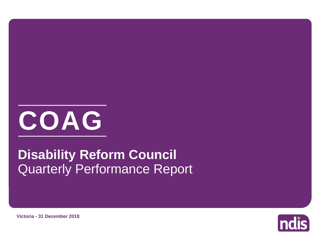

# Quarterly Performance Report **Disability Reform Council**



**Victoria - 31 December 2018**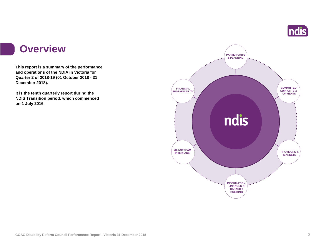

#### **Overview**

**This report is a summary of the performance and operations of the NDIA in Victoria for Quarter 2 of 2018-19 (01 October 2018 - 31 December 2018).**

**It is the tenth quarterly report during the NDIS Transition period, which commenced on 1 July 2016.** 

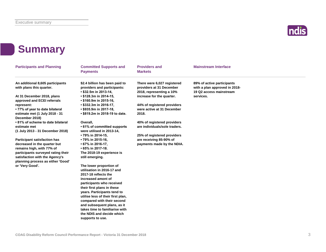

### **Summary**

| <b>Participants and Planning</b>                                                                                                                                                                              | <b>Committed Supports and</b><br><b>Payments</b>                                                                                 | <b>Providers and</b><br><b>Markets</b>                                              | <b>Mainstream Interface</b>                                                            |  |
|---------------------------------------------------------------------------------------------------------------------------------------------------------------------------------------------------------------|----------------------------------------------------------------------------------------------------------------------------------|-------------------------------------------------------------------------------------|----------------------------------------------------------------------------------------|--|
| An additional 8,605 participants<br>with plans this quarter.                                                                                                                                                  | \$2.4 billion has been paid to<br>providers and participants:<br>$\cdot$ \$32.5m in 2013-14,                                     | There were 6,027 registered<br>providers at 31 December<br>2018, representing a 10% | 89% of active participants<br>with a plan approved in 2018-<br>19 Q2 access mainstream |  |
| At 31 December 2018, plans<br>approved and ECEI referrals                                                                                                                                                     | $\cdot$ \$128.3m in 2014-15,<br>• \$160.9m in 2015-16,                                                                           | increase for the quarter.                                                           | services.                                                                              |  |
| represent:                                                                                                                                                                                                    | $\cdot$ \$332.3m in 2016-17,                                                                                                     | 44% of registered providers                                                         |                                                                                        |  |
| • 77% of year to date bilateral<br>estimate met (1 July 2018 - 31                                                                                                                                             | • \$935.9m in 2017-18,<br>• \$819.2m in 2018-19 to date.                                                                         | were active at 31 December<br>2018.                                                 |                                                                                        |  |
| December 2018)                                                                                                                                                                                                |                                                                                                                                  |                                                                                     |                                                                                        |  |
| • 81% of scheme to date bilateral<br>estimate met<br>(1 July 2013 - 31 December 2018)                                                                                                                         | Overall,<br>• 61% of committed supports<br>were utilised in 2013-14,                                                             | 40% of registered providers<br>are individuals/sole traders.                        |                                                                                        |  |
|                                                                                                                                                                                                               | • 79% in 2014-15,                                                                                                                | 25% of registered providers                                                         |                                                                                        |  |
| <b>Participant satisfaction has</b><br>decreased in the quarter but<br>remains high, with 77% of<br>participants surveyed rating their<br>satisfaction with the Agency's<br>planning process as either 'Good' | • 79% in 2015-16,<br>• 67% in 2016-17,<br>$\cdot$ 65% in 2017-18.<br>The 2018-19 experience is<br>still emerging.                | are receiving 85-90% of<br>payments made by the NDIA.                               |                                                                                        |  |
| or 'Very Good'.                                                                                                                                                                                               | The lower proportion of<br>utilisation in 2016-17 and<br>2017-18 reflects the<br>increased amont of<br>participants who received |                                                                                     |                                                                                        |  |
|                                                                                                                                                                                                               | their first plans in these<br>years. Participants tend to<br>utilise less of their first plan,                                   |                                                                                     |                                                                                        |  |
|                                                                                                                                                                                                               | compared with their second<br>and subsequent plans, as it<br>takes time to familiarise with                                      |                                                                                     |                                                                                        |  |
|                                                                                                                                                                                                               | the NDIS and decide which<br>supports to use.                                                                                    |                                                                                     |                                                                                        |  |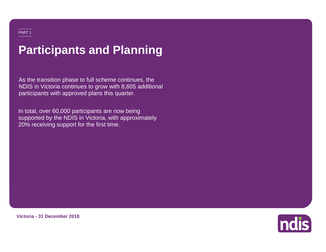## **Participants and Planning**

As the transition phase to full scheme continues, the NDIS in Victoria continues to grow with 8,605 additional participants with approved plans this quarter.

In total, over 60,000 participants are now being supported by the NDIS in Victoria, with approximately 20% receiving support for the first time.



**Victoria - 31 December 2018**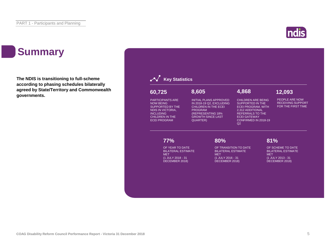### **Summary**

**The NDIS is transitioning to full-scheme according to phasing schedules bilaterally agreed by State/Territory and Commonwealth governments.**

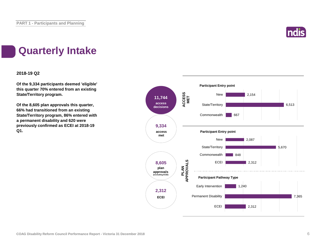

### **Quarterly Intake**

#### **2018-19 Q2**

**Of the 9,334 participants deemed 'eligible' this quarter 70% entered from an existing State/Territory program.**

**Of the 8,605 plan approvals this quarter, 66% had transitioned from an existing State/Territory program, 86% entered with a permanent disability and 620 were previously confirmed as ECEI at 2018-19 Q1.**

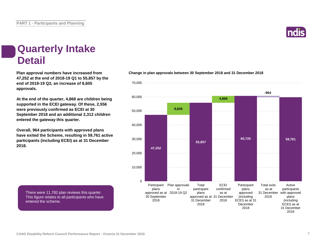

#### **Quarterly Intake Detail**

**Plan approval numbers have increased from 47,252 at the end of 2018-19 Q1 to 55,857 by the end of 2018-19 Q2, an increase of 8,605 approvals.**

**At the end of the quarter, 4,868 are children being supported in the ECEI gateway. Of these, 2,556 were previously confirmed as ECEI at 30 September 2018 and an additional 2,312 children entered the gateway this quarter.**

**Overall, 964 participants with approved plans have exited the Scheme, resulting in 59,761 active participants (including ECEI) as at 31 December 2018.**

There were 11,782 plan reviews this quarter. This figure relates to all participants who have entered the scheme.



**Change in plan approvals between 30 September 2018 and 31 December 2018**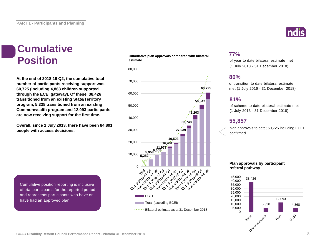# **Cumulative**

**At the end of 2018-19 Q2, the cumulative total number of participants receiving support was 60,725 (including 4,868 children supported through the ECEI gateway). Of these, 38,426 transitioned from an existing State/Territory program, 5,338 transitioned from an existing Commonwealth program and 12,093 participants are now receiving support for the first time.**

**Overall, since 1 July 2013, there have been 84,891 people with access decisions.**

Cumulative position reporting is inclusive of trial participants for the reported period and represents participants who have or have had an approved plan.

#### **Cumulative plan approvals compared with bilateral estimate Position** cumulative plan approvais compared with bilateral external of year to date bilateral estimate met



#### **77%**

(1 July 2018 - 31 December 2018)

#### **80%**

of transition to date bilateral estimate met (1 July 2016 - 31 December 2018)

#### **81%**

of scheme to date bilateral estimate met (1 July 2013 - 31 December 2018)

#### **55,857**

plan approvals to date; 60,725 including ECEI confirmed

#### **Plan approvals by participant referral pathway**

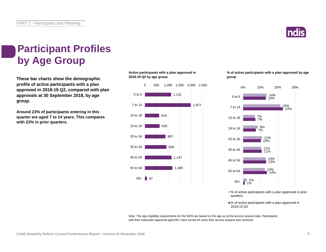

### **Participant Profiles by Age Group**

**These bar charts show the demographic profile of active participants with a plan approved in 2018-19 Q2, compared with plan approvals at 30 September 2018, by age group.**

**Around 23% of participants entering in this quarter are aged 7 to 14 years. This compares with 22% in prior quarters.**

#### **Active participants with a plan approved in 2018-19 Q2 by age group**



**% of active participants with a plan approved by age group**



■% of active participants with a plan approved in prior quarters

■% of active participants with a plan approved in 2018-19 Q2

Note: The age eligibility requirements for the NDIS are based on the age as at the access request date. Participants with their initial plan approved aged 65+ have turned 65 since their access request was received.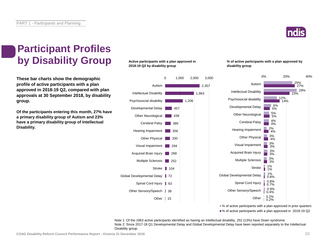

### **Participant Profiles by Disability Group**

**These bar charts show the demographic profile of active participants with a plan approved in 2018-19 Q2, compared with plan approvals at 30 September 2018, by disability group.**

**Of the participants entering this month, 27% have a primary disability group of Autism and 23% have a primary disability group of Intellectual Disability.**

**Active participants with a plan approved in 2018-19 Q2 by disability group**



**% of active participants with a plan approved by disability group**



■% of active participants with a plan approved in prior quarters

■% of active participants with a plan approved in 2018-19 Q2

Note 1: Of the 1963 active participants identified as having an intellectual disability, 252 (13%) have Down syndrome. Note 2: Since 2017-18 Q1 Developmental Delay and Global Developmental Delay have been reported separately to the Intellectual Disability group.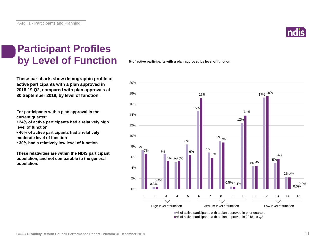

### **Participant Profiles by Level of Function**

**These bar charts show demographic profile of active participants with a plan approved in 2018-19 Q2, compared with plan approvals at 30 September 2018, by level of function.**

**For participants with a plan approval in the current quarter:** 

**• 24% of active participants had a relatively high level of function**

**• 46% of active participants had a relatively moderate level of function** 

**• 30% had a relatively low level of function**

**These relativities are within the NDIS participant population, and not comparable to the general population.**

**% of active participants with a plan approved by level of function**



■% of active participants with a plan approved in 2018-19 Q2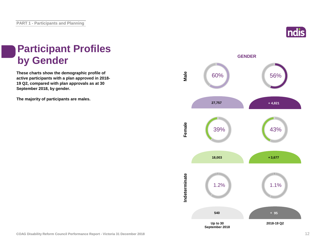

### **Participant Profiles by Gender**

**These charts show the demographic profile of active participants with a plan approved in 2018- 19 Q2, compared with plan approvals as at 30 September 2018, by gender.**

**The majority of participants are males.**

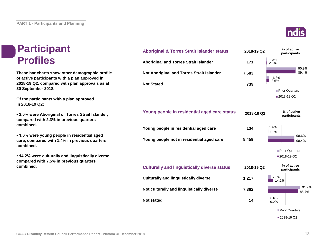#### **Participant Profiles**

**These bar charts show other demographic profile of active participants with a plan approved in 2018-19 Q2, compared with plan approvals as at 30 September 2018.**

**Of the participants with a plan approved in 2018-19 Q2:**

**• 2.0% were Aboriginal or Torres Strait Islander, compared with 2.3% in previous quarters combined.**

**• 1.6% were young people in residential aged care, compared with 1.4% in previous quarters combined.**

**• 14.2% were culturally and linguistically diverse, compared with 7.5% in previous quarters combined.**



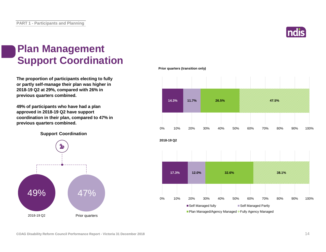![](_page_13_Picture_1.jpeg)

#### **Plan Management Support Coordination**

**The proportion of participants electing to fully or partly self-manage their plan was higher in 2018-19 Q2 at 29%, compared with 26% in previous quarters combined.**

**49% of participants who have had a plan approved in 2018-19 Q2 have support coordination in their plan, compared to 47% in previous quarters combined.**

**Support Coordination**

![](_page_13_Figure_6.jpeg)

**Prior quarters (transition only)**

![](_page_13_Figure_8.jpeg)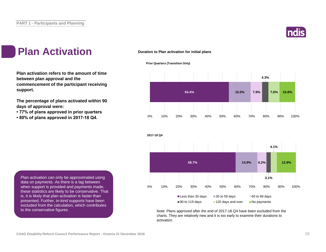![](_page_14_Picture_1.jpeg)

#### **Plan Activation**

**Plan activation refers to the amount of time between plan approval and the commencement of the participant receiving support.**

**The percentage of plans activated within 90 days of approval were:** 

- **77% of plans approved in prior quarters**
- **80% of plans approved in 2017-18 Q4.**

#### **Duration to Plan activation for initial plans**

![](_page_14_Figure_8.jpeg)

![](_page_14_Figure_9.jpeg)

![](_page_14_Figure_10.jpeg)

Note: Plans approved after the end of 2017-18 Q4 have been excluded from the charts. They are relatively new and it is too early to examine their durations to activation.

Plan activation can only be approximated using data on payments. As there is a lag between when support is provided and payments made, these statistics are likely to be conservative. That is, it is likely that plan activation is faster than presented. Further, in-kind supports have been excluded from the calculation, which contributes to the conservative figures.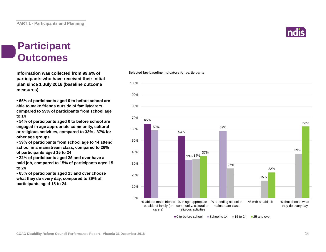#### **Participant Outcomes**

**Information was collected from 99.6% of participants who have received their initial plan since 1 July 2016 (baseline outcome measures).**

**• 65% of participants aged 0 to before school are able to make friends outside of family/carers, compared to 59% of participants from school age to 14**

**• 54% of participants aged 0 to before school are engaged in age appropriate community, cultural or religious activities, compared to 33% - 37% for other age groups**

**• 59% of participants from school age to 14 attend school in a mainstream class, compared to 26% of participants aged 15 to 24**

**• 22% of participants aged 25 and over have a paid job, compared to 15% of participants aged 15 to 24**

**• 63% of participants aged 25 and over choose what they do every day, compared to 39% of participants aged 15 to 24**

#### 65% 54% 59% 33% 34% 59% 26% 15% 39% 37% 22% 63% 0% 10% 20% 30% 40% 50% 60% 70% 80% 90% 100% % able to make friends % in age appropiate % attending school in outside of family (or community, cultural or carers) religious activities mainstream class % with a paid job % that choose what they do every day

 $\Box$ 0 to before school  $\Box$  School to 14  $\Box$  15 to 24  $\Box$  25 and over

#### **Selected key baseline indicators for participants**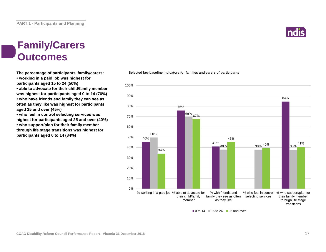#### **Family/Carers Outcomes**

**The percentage of participants' family/carers: • working in a paid job was highest for participants aged 15 to 24 (50%)**

**• able to advocate for their child/family member was highest for participants aged 0 to 14 (76%) • who have friends and family they can see as often as they like was highest for participants aged 25 and over (45%)**

**• who feel in control selecting services was highest for participants aged 25 and over (40%) • who support/plan for their family member through life stage transitions was highest for participants aged 0 to 14 (84%)**

#### 46% 76% 41% 84% 50% 69% <sub>67%</sub> 38% 38% <sup>407%</sup> 38% 34% 45% 40% 38% 41% 0% 10% 20% 30% 40% 50% 60% 70% 80% 90% 100% % working in a paid job % able to advocate for their child/family member % with friends and family they see as often as they like % who feel in control selecting services % who support/plan for their family member through life stage transitions

**Selected key baseline indicators for families and carers of participants**

 $\blacksquare$  0 to 14  $\blacksquare$  15 to 24  $\blacksquare$  25 and over

![](_page_16_Picture_9.jpeg)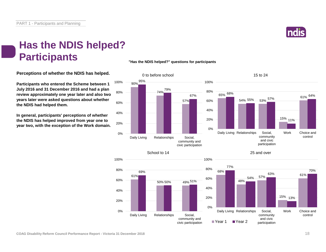![](_page_17_Picture_1.jpeg)

#### **Has the NDIS helped? Participants**

**"Has the NDIS helped?" questions for participants**

**Perceptions of whether the NDIS has helped.**

**Participants who entered the Scheme between 1 July 2016 and 31 December 2016 and had a plan review approximately one year later and also two years later were asked questions about whether the NDIS had helped them.**

**In general, participants' perceptions of whether the NDIS has helped improved from year one to year two, with the exception of the Work domain.**

![](_page_17_Figure_7.jpeg)

100%

![](_page_17_Figure_8.jpeg)

100%

0%

20%

40%

60%

80%

100%

![](_page_17_Figure_9.jpeg)

![](_page_17_Figure_10.jpeg)

![](_page_17_Figure_11.jpeg)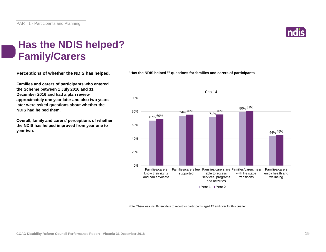![](_page_18_Picture_1.jpeg)

#### **Has the NDIS helped? Family/Carers**

**Perceptions of whether the NDIS has helped.**

**Families and carers of participants who entered the Scheme between 1 July 2016 and 31 December 2016 and had a plan review approximately one year later and also two years later were asked questions about whether the NDIS had helped them.**

**Overall, family and carers' perceptions of whether the NDIS has helped improved from year one to year two.**

**"Has the NDIS helped?" questions for families and carers of participants**

![](_page_18_Figure_7.jpeg)

Note: There was insufficient data to report for participants aged 15 and over for this quarter.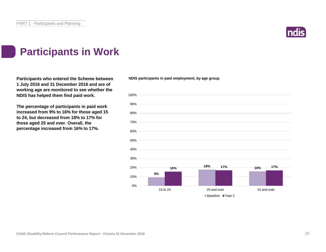![](_page_19_Picture_1.jpeg)

### **Participants in Work**

**Participants who entered the Scheme between 1 July 2016 and 31 December 2016 and are of working age are monitored to see whether the NDIS has helped them find paid work.**

**The percentage of participants in paid work increased from 9% to 16% for those aged 15 to 24, but decreased from 18% to 17% for those aged 25 and over. Overall, the percentage increased from 16% to 17%.**

**NDIS participants in paid employment, by age group.**

![](_page_19_Figure_6.jpeg)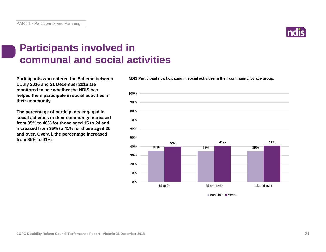![](_page_20_Picture_1.jpeg)

#### **Participants involved in communal and social activities**

**Participants who entered the Scheme between 1 July 2016 and 31 December 2016 are monitored to see whether the NDIS has helped them participate in social activities in their community.**

**The percentage of participants engaged in social activities in their community increased from 35% to 40% for those aged 15 to 24 and increased from 35% to 41% for those aged 25 and over. Overall, the percentage increased from 35% to 41%.**

**NDIS Participants participating in social activities in their community, by age group.**

![](_page_20_Figure_6.jpeg)

■Baseline ■Year 2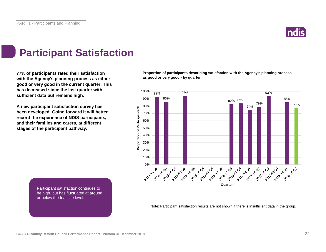![](_page_21_Picture_1.jpeg)

### **Participant Satisfaction**

**77% of participants rated their satisfaction with the Agency's planning process as either good or very good in the current quarter. This has decreased since the last quarter with sufficient data but remains high.** 

**A new participant satisfaction survey has been developed. Going forward it will better record the experience of NDIS participants, and their families and carers, at different stages of the participant pathway.**

**Proportion of participants describing satisfaction with the Agency's planning process as good or very good - by quarter**

![](_page_21_Figure_6.jpeg)

Participant satisfaction continues to be high, but has fluctuated at around or below the trial site level.

Note: Participant satisfaction results are not shown if there is insufficient data in the group.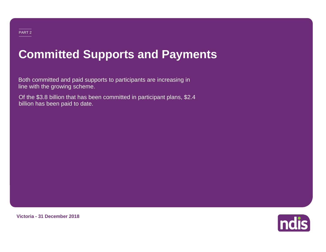# **Committed Supports and Payments**

Both committed and paid supports to participants are increasing in line with the growing scheme.

Of the \$3.8 billion that has been committed in participant plans, \$2.4 billion has been paid to date.

![](_page_22_Picture_3.jpeg)

**Victoria - 31 December 2018**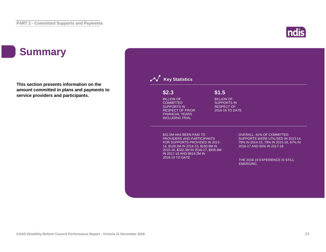### **Summary**

**This section presents information on the amount committed in plans and payments to service providers and participants.**

![](_page_23_Figure_3.jpeg)

**ndis**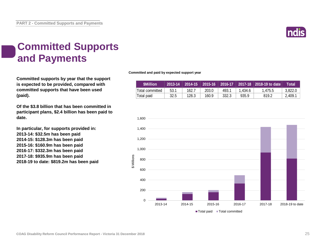![](_page_24_Picture_1.jpeg)

### **Committed Supports and Payments**

**Committed supports by year that the support is expected to be provided, compared with committed supports that have been used (paid).**

**Of the \$3.8 billion that has been committed in participant plans, \$2.4 billion has been paid to date.**

**In particular, for supports provided in: 2013-14: \$32.5m has been paid 2014-15: \$128.3m has been paid 2015-16: \$160.9m has been paid 2016-17: \$332.3m has been paid 2017-18: \$935.9m has been paid 2018-19 to date: \$819.2m has been paid** **Committed and paid by expected support year**

| <b>SMillion</b> | 2013-14 |       | $\sqrt{2014-15}$ $\sqrt{2015-16}$ |       |         | 2016-17 2017-18 2018-19 to date | Total   |
|-----------------|---------|-------|-----------------------------------|-------|---------|---------------------------------|---------|
| Total committed | 53.1    | 162.7 | 203.0                             | 493.1 | 1.434.6 | 1.475.5                         | 3.822.0 |
| Total paid      | 32.5    | 128.3 | 160.9                             | 332.3 | 935.9   | 819.2                           | 2,409.1 |

![](_page_24_Figure_8.jpeg)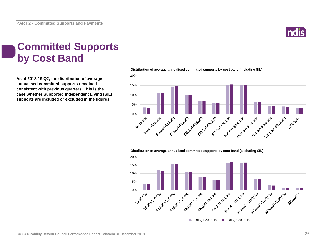![](_page_25_Picture_1.jpeg)

### **Committed Supports by Cost Band**

**As at 2018-19 Q2, the distribution of average annualised committed supports remained consistent with previous quarters. This is the case whether Supported Independent Living (SIL) supports are included or excluded in the figures.**

![](_page_25_Figure_4.jpeg)

**Distribution of average annualised committed supports by cost band (including SIL)** 

**Distribution of average annualised committed supports by cost band (excluding SIL)** 

![](_page_25_Figure_7.jpeg)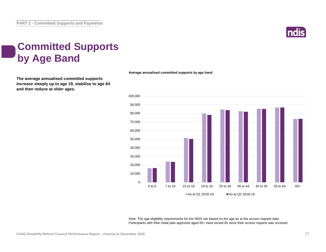![](_page_26_Picture_1.jpeg)

### **Committed Supports by Age Band**

**The average annualised committed supports increase steeply up to age 19, stabilise to age 64 and then reduce at older ages.**

![](_page_26_Figure_4.jpeg)

**Average annualised committed supports by age band**

Note: The age eligibility requirements for the NDIS are based on the age as at the access request date. Participants with their initial plan approved aged 65+ have turned 65 since their access request was received.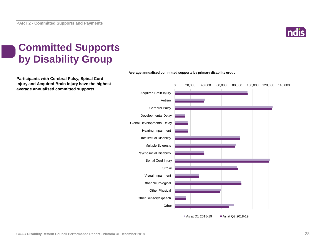![](_page_27_Picture_1.jpeg)

### **Committed Supports by Disability Group**

**Participants with Cerebral Palsy, Spinal Cord Injury and Acquired Brain Injury have the highest average annualised committed supports.**

![](_page_27_Figure_4.jpeg)

#### **Average annualised committed supports by primary disability group**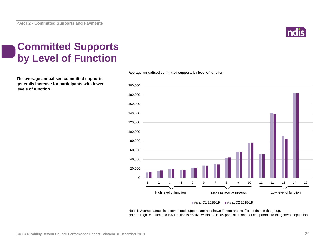![](_page_28_Picture_1.jpeg)

### **Committed Supports by Level of Function**

**The average annualised committed supports generally increase for participants with lower levels of function.**

![](_page_28_Figure_4.jpeg)

![](_page_28_Figure_5.jpeg)

As at Q1 2018-19  $\blacksquare$  As at Q2 2018-19

Note 1: Average annualised committed supports are not shown if there are insufficient data in the group. Note 2: High, medium and low function is relative within the NDIS population and not comparable to the general population.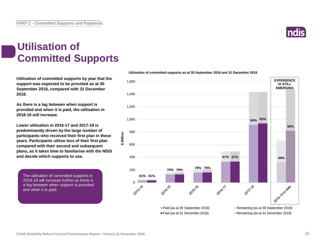#### **Utilisation of Committed Supports**

**Utilisation of committed supports by year that the support was expected to be provided as at 30 September 2018, compared with 31 December 2018.** 

**As there is a lag between when support is provided and when it is paid, the utilisation in 2018-19 will increase.**

**Lower utilisation in 2016-17 and 2017-18 is predominantly driven by the large number of participants who received their first plan in these years. Participants utilise less of their first plan compared with their second and subsequent plans, as it takes time to familiarise with the NDIS and decide which supports to use.**

**\$ Million**

The utilisation of committed supports in 2018-19 will increase further as there is a lag between when support is provided and when it is paid.

![](_page_29_Figure_8.jpeg)

![](_page_29_Figure_9.jpeg)

![](_page_29_Picture_10.jpeg)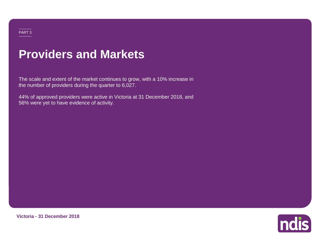### **Providers and Markets**

The scale and extent of the market continues to grow, with a 10% increase in the number of providers during the quarter to 6,027.

44% of approved providers were active in Victoria at 31 December 2018, and 56% were yet to have evidence of activity.

![](_page_30_Picture_3.jpeg)

**Victoria - 31 December 2018**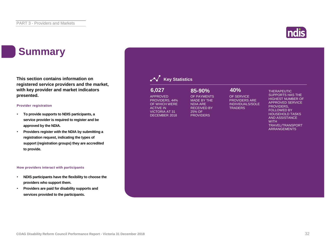### **Summary**

**This section contains information on registered service providers and the market, with key provider and market indicators presented.**

#### **Provider registration**

- **To provide supports to NDIS participants, a service provider is required to register and be approved by the NDIA.**
- **Providers register with the NDIA by submitting a registration request, indicating the types of support (registration groups) they are accredited to provide.**

#### **How providers interact with participants**

- **NDIS participants have the flexibility to choose the providers who support them.**
- **Providers are paid for disability supports and services provided to the participants.**

#### **Key Statistics** OF SERVICE PROVIDERS ARE INDIVIDUALS/SOLE **TRADERS** APPROVED PROVIDERS, 44% OF WHICH WERE ACTIVE IN VICTORIA AT 31 DECEMBER 2018 OF PAYMENTS MADE BY THE NDIA ARE RECEIVED BY 25% OF **PROVIDERS 6,027 85-90% 40%**

THERAPEUTIC SUPPORTS HAS THE HIGHEST NUMBER OF APPROVED SERVICE PROVIDERS, FOLLOWED BY HOUSEHOLD TASKS AND ASSISTANCE

TRAVEL/TRANSPORT ARRANGEMENTS

**WITH**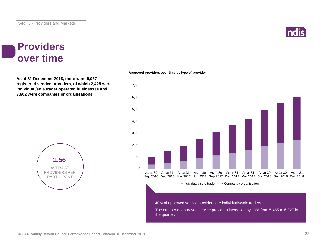#### **Providers over time**

**As at 31 December 2018, there were 6,027 registered service providers, of which 2,425 were individual/sole trader operated businesses and 3,602 were companies or organisations.**

![](_page_32_Figure_4.jpeg)

#### $\Omega$ 1,000 2,000 3,000 4,000 5,000 6,000 7,000 As at 30 As at 31 As at 31 As at 30 As at 30 As at 31 As at 31 As at 30 As at 30 As at 31 Sep 2016 Dec 2016 Mar 2017 Jun 2017 Sep 2017 Dec 2017 Mar 2018 Jun 2018 Sep 2018 Dec 2018  $\blacksquare$ Individual / sole trader  $\blacksquare$  Company / organisation The number of approved service providers increased by 10% from 5,485 to 6,027 in the quarter. 40% of approved service providers are individuals/sole traders.

#### **Approved providers over time by type of provider**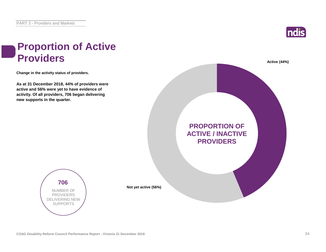![](_page_33_Picture_1.jpeg)

# **Proportion of Active**

**Change in the activity status of providers.**

**As at 31 December 2018, 44% of providers were active and 56% were yet to have evidence of activity. Of all providers, 706 began delivering new supports in the quarter.**

![](_page_33_Picture_5.jpeg)

**706** NUMBER OF PROVIDERS DELIVERING NEW SUPPORTS

**COAG Disability Reform Council Performance Report - Victoria 31 December 2018** 34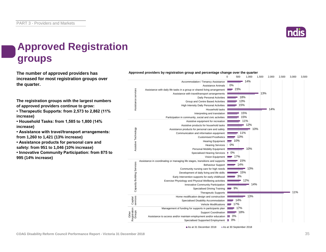![](_page_34_Picture_1.jpeg)

### **Approved Registration groups**

**The number of approved providers has** *Approved providers by registration group and percentage change over the quarter***<br>
<b>Approved providers** by registration group and percentage change over the quarter **increased for most registration groups over the quarter.**

**The registration groups with the largest numbers of approved providers continue to grow:**

**• Therapeutic Supports: from 2,573 to 2,862 (11% increase)**

**• Household Tasks: from 1,585 to 1,800 (14% increase)**

**• Assistance with travel/transport arrangements: from 1,260 to 1,421 (13% increase)**

**• Assistance products for personal care and safety: from 951 to 1,046 (10% increase)**

**• Innovative Community Participation: from 875 to 995 (14% increase)**

![](_page_34_Figure_10.jpeg)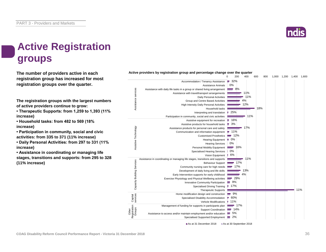### **Active Registration groups**

**The number of providers active in each registration group has increased for most registration groups over the quarter.**

**The registration groups with the largest numbers of active providers continue to grow:**

**• Therapeutic Supports: from 1,259 to 1,393 (11% increase)**

**• Household tasks: from 482 to 569 (18% increase)**

**• Participation in community, social and civic activities: from 335 to 371 (11% increase)**

**• Daily Personal Activities: from 297 to 331 (11% increase)**

**• Assistance in coordinating or managing life stages, transitions and supports: from 295 to 328 (11% increase)**

![](_page_35_Figure_10.jpeg)

**Active providers by registration group and percentage change over the quarter** 0 200 400 600 800 1,000 1,200 1,400 1,600

As at 31 December 2018 As at 30 September 2018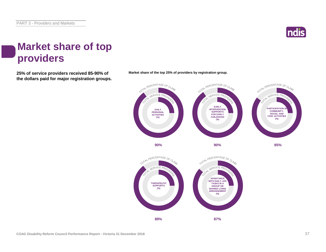![](_page_36_Picture_1.jpeg)

#### **Market share of top providers**

**25% of service providers received 85-90% of Market share of the top 25% of providers by registration group. the dollars paid for major registration groups.**

![](_page_36_Figure_4.jpeg)

![](_page_36_Figure_6.jpeg)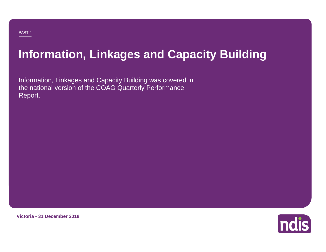## **Information, Linkages and Capacity Building**

Information, Linkages and Capacity Building was covered in the national version of the COAG Quarterly Performance Report.

**Victoria - 31 December 2018**

![](_page_37_Picture_4.jpeg)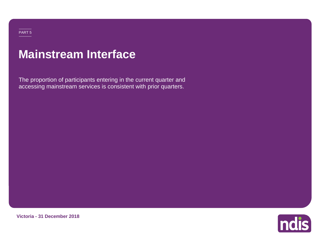### **Mainstream Interface**

The proportion of participants entering in the current quarter and accessing mainstream services is consistent with prior quarters.

![](_page_38_Picture_2.jpeg)

![](_page_38_Picture_3.jpeg)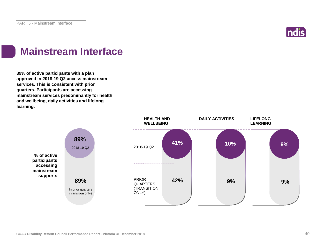![](_page_39_Picture_1.jpeg)

### **Mainstream Interface**

**89% of active participants with a plan approved in 2018-19 Q2 access mainstream services. This is consistent with prior quarters. Participants are accessing mainstream services predominantly for health and wellbeing, daily activities and lifelong learning.**

![](_page_39_Figure_4.jpeg)